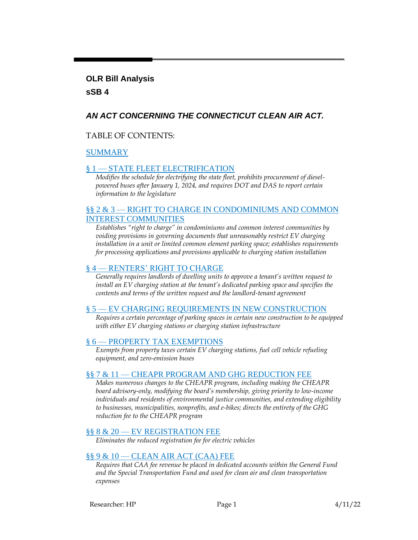#### **OLR Bill Analysis**

#### **sSB 4**

## *AN ACT CONCERNING THE CONNECTICUT CLEAN AIR ACT.*

#### TABLE OF CONTENTS:

#### [SUMMARY](#page-1-0)

#### § 1 — [STATE FLEET ELECTRIFICATION](#page-2-0)

*Modifies the schedule for electrifying the state fleet, prohibits procurement of dieselpowered buses after January 1, 2024, and requires DOT and DAS to report certain information to the legislature*

#### §§ 2 & 3 — [RIGHT TO CHARGE IN CONDOMINIUMS AND COMMON](#page-3-0)  [INTEREST COMMUNITIES](#page-3-0)

*Establishes "right to charge" in condominiums and common interest communities by voiding provisions in governing documents that unreasonably restrict EV charging installation in a unit or limited common element parking space; establishes requirements for processing applications and provisions applicable to charging station installation*

#### § 4 — [RENTERS' RIGHT TO CHARGE](#page-6-0)

*Generally requires landlords of dwelling units to approve a tenant's written request to install an EV charging station at the tenant's dedicated parking space and specifies the contents and terms of the written request and the landlord-tenant agreement*

#### § 5 — [EV CHARGING REQUIREMENTS IN NEW CONSTRUCTION](#page-9-0)

*Requires a certain percentage of parking spaces in certain new construction to be equipped with either EV charging stations or charging station infrastructure*

#### § 6 — [PROPERTY TAX EXEMPTIONS](#page-9-1)

*Exempts from property taxes certain EV charging stations, fuel cell vehicle refueling equipment, and zero-emission buses*

#### §§ 7 & 11 — [CHEAPR PROGRAM AND GHG REDUCTION FEE](#page-10-0)

*Makes numerous changes to the CHEAPR program, including making the CHEAPR board advisory-only, modifying the board's membership, giving priority to low-income individuals and residents of environmental justice communities, and extending eligibility to businesses, municipalities, nonprofits, and e-bikes; directs the entirety of the GHG reduction fee to the CHEAPR program*

#### §§ 8 & 20 — [EV REGISTRATION FEE](#page-13-0)

*Eliminates the reduced registration fee for electric vehicles*

#### §§ 9 & 10 — [CLEAN AIR ACT \(CAA\) FEE](#page-13-1)

*Requires that CAA fee revenue be placed in dedicated accounts within the General Fund and the Special Transportation Fund and used for clean air and clean transportation expenses*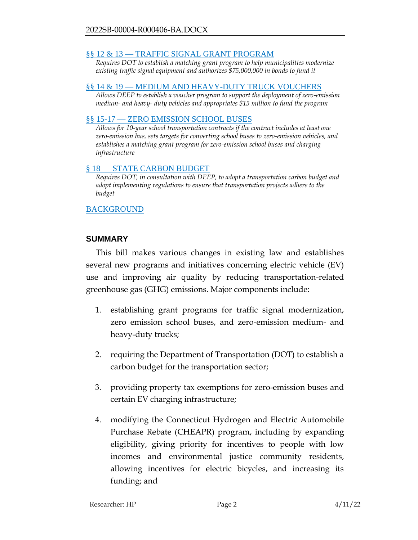#### §§ 12 & 13 — [TRAFFIC SIGNAL GRANT PROGRAM](#page-14-0)

*Requires DOT to establish a matching grant program to help municipalities modernize existing traffic signal equipment and authorizes \$75,000,000 in bonds to fund it*

#### §§ 14 & 19 — [MEDIUM AND HEAVY-DUTY TRUCK VOUCHERS](#page-14-1)

*Allows DEEP to establish a voucher program to support the deployment of zero-emission medium- and heavy- duty vehicles and appropriates \$15 million to fund the program*

#### §§ 15-17 — [ZERO EMISSION SCHOOL BUSES](#page-15-0)

*Allows for 10-year school transportation contracts if the contract includes at least one zero-emission bus, sets targets for converting school buses to zero-emission vehicles, and establishes a matching grant program for zero-emission school buses and charging infrastructure*

#### § 18 — [STATE CARBON BUDGET](#page-16-0)

*Requires DOT, in consultation with DEEP, to adopt a transportation carbon budget and adopt implementing regulations to ensure that transportation projects adhere to the budget*

#### **[BACKGROUND](#page-17-0)**

#### <span id="page-1-0"></span>**SUMMARY**

This bill makes various changes in existing law and establishes several new programs and initiatives concerning electric vehicle (EV) use and improving air quality by reducing transportation-related greenhouse gas (GHG) emissions. Major components include:

- 1. establishing grant programs for traffic signal modernization, zero emission school buses, and zero-emission medium- and heavy-duty trucks;
- 2. requiring the Department of Transportation (DOT) to establish a carbon budget for the transportation sector;
- 3. providing property tax exemptions for zero-emission buses and certain EV charging infrastructure;
- 4. modifying the Connecticut Hydrogen and Electric Automobile Purchase Rebate (CHEAPR) program, including by expanding eligibility, giving priority for incentives to people with low incomes and environmental justice community residents, allowing incentives for electric bicycles, and increasing its funding; and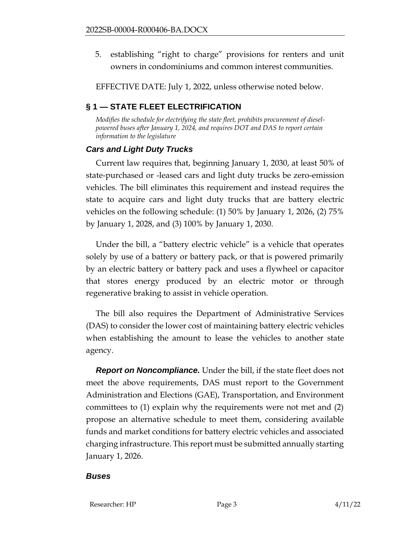5. establishing "right to charge" provisions for renters and unit owners in condominiums and common interest communities.

EFFECTIVE DATE: July 1, 2022, unless otherwise noted below.

# <span id="page-2-0"></span>**§ 1 — STATE FLEET ELECTRIFICATION**

*Modifies the schedule for electrifying the state fleet, prohibits procurement of dieselpowered buses after January 1, 2024, and requires DOT and DAS to report certain information to the legislature*

## *Cars and Light Duty Trucks*

Current law requires that, beginning January 1, 2030, at least 50% of state-purchased or -leased cars and light duty trucks be zero-emission vehicles. The bill eliminates this requirement and instead requires the state to acquire cars and light duty trucks that are battery electric vehicles on the following schedule: (1) 50% by January 1, 2026, (2) 75% by January 1, 2028, and (3) 100% by January 1, 2030.

Under the bill, a "battery electric vehicle" is a vehicle that operates solely by use of a battery or battery pack, or that is powered primarily by an electric battery or battery pack and uses a flywheel or capacitor that stores energy produced by an electric motor or through regenerative braking to assist in vehicle operation.

The bill also requires the Department of Administrative Services (DAS) to consider the lower cost of maintaining battery electric vehicles when establishing the amount to lease the vehicles to another state agency.

*Report on Noncompliance.* Under the bill, if the state fleet does not meet the above requirements, DAS must report to the Government Administration and Elections (GAE), Transportation, and Environment committees to (1) explain why the requirements were not met and (2) propose an alternative schedule to meet them, considering available funds and market conditions for battery electric vehicles and associated charging infrastructure. This report must be submitted annually starting January 1, 2026.

## *Buses*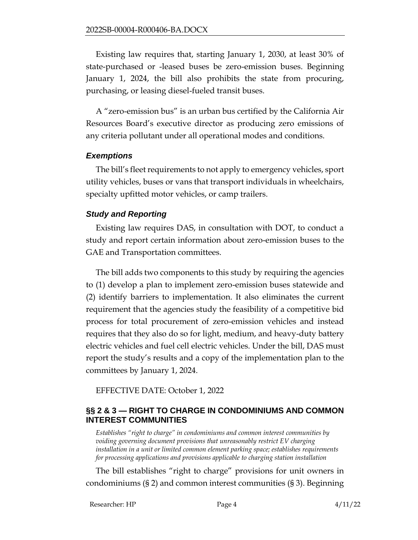Existing law requires that, starting January 1, 2030, at least 30% of state-purchased or -leased buses be zero-emission buses. Beginning January 1, 2024, the bill also prohibits the state from procuring, purchasing, or leasing diesel-fueled transit buses.

A "zero-emission bus" is an urban bus certified by the California Air Resources Board's executive director as producing zero emissions of any criteria pollutant under all operational modes and conditions.

#### *Exemptions*

The bill's fleet requirements to not apply to emergency vehicles, sport utility vehicles, buses or vans that transport individuals in wheelchairs, specialty upfitted motor vehicles, or camp trailers.

## *Study and Reporting*

Existing law requires DAS, in consultation with DOT, to conduct a study and report certain information about zero-emission buses to the GAE and Transportation committees.

The bill adds two components to this study by requiring the agencies to (1) develop a plan to implement zero-emission buses statewide and (2) identify barriers to implementation. It also eliminates the current requirement that the agencies study the feasibility of a competitive bid process for total procurement of zero-emission vehicles and instead requires that they also do so for light, medium, and heavy-duty battery electric vehicles and fuel cell electric vehicles. Under the bill, DAS must report the study's results and a copy of the implementation plan to the committees by January 1, 2024.

EFFECTIVE DATE: October 1, 2022

## <span id="page-3-0"></span>**§§ 2 & 3 — RIGHT TO CHARGE IN CONDOMINIUMS AND COMMON INTEREST COMMUNITIES**

*Establishes "right to charge" in condominiums and common interest communities by voiding governing document provisions that unreasonably restrict EV charging installation in a unit or limited common element parking space; establishes requirements for processing applications and provisions applicable to charging station installation*

The bill establishes "right to charge" provisions for unit owners in condominiums (§ 2) and common interest communities (§ 3). Beginning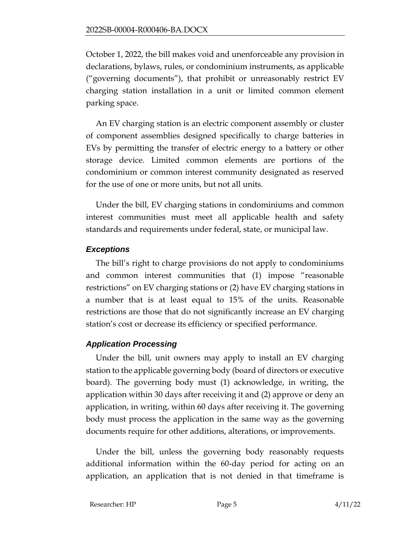October 1, 2022, the bill makes void and unenforceable any provision in declarations, bylaws, rules, or condominium instruments, as applicable ("governing documents"), that prohibit or unreasonably restrict EV charging station installation in a unit or limited common element parking space.

An EV charging station is an electric component assembly or cluster of component assemblies designed specifically to charge batteries in EVs by permitting the transfer of electric energy to a battery or other storage device. Limited common elements are portions of the condominium or common interest community designated as reserved for the use of one or more units, but not all units.

Under the bill, EV charging stations in condominiums and common interest communities must meet all applicable health and safety standards and requirements under federal, state, or municipal law.

## *Exceptions*

The bill's right to charge provisions do not apply to condominiums and common interest communities that (1) impose "reasonable restrictions" on EV charging stations or (2) have EV charging stations in a number that is at least equal to 15% of the units. Reasonable restrictions are those that do not significantly increase an EV charging station's cost or decrease its efficiency or specified performance.

# *Application Processing*

Under the bill, unit owners may apply to install an EV charging station to the applicable governing body (board of directors or executive board). The governing body must (1) acknowledge, in writing, the application within 30 days after receiving it and (2) approve or deny an application, in writing, within 60 days after receiving it. The governing body must process the application in the same way as the governing documents require for other additions, alterations, or improvements.

Under the bill, unless the governing body reasonably requests additional information within the 60-day period for acting on an application, an application that is not denied in that timeframe is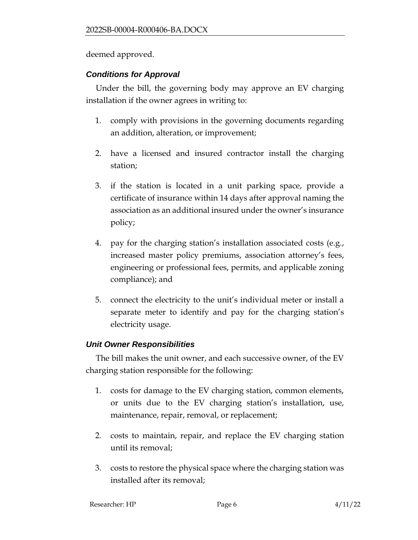deemed approved.

## *Conditions for Approval*

Under the bill, the governing body may approve an EV charging installation if the owner agrees in writing to:

- 1. comply with provisions in the governing documents regarding an addition, alteration, or improvement;
- 2. have a licensed and insured contractor install the charging station;
- 3. if the station is located in a unit parking space, provide a certificate of insurance within 14 days after approval naming the association as an additional insured under the owner's insurance policy;
- 4. pay for the charging station's installation associated costs (e.g., increased master policy premiums, association attorney's fees, engineering or professional fees, permits, and applicable zoning compliance); and
- 5. connect the electricity to the unit's individual meter or install a separate meter to identify and pay for the charging station's electricity usage.

## *Unit Owner Responsibilities*

The bill makes the unit owner, and each successive owner, of the EV charging station responsible for the following:

- 1. costs for damage to the EV charging station, common elements, or units due to the EV charging station's installation, use, maintenance, repair, removal, or replacement;
- 2. costs to maintain, repair, and replace the EV charging station until its removal;
- 3. costs to restore the physical space where the charging station was installed after its removal;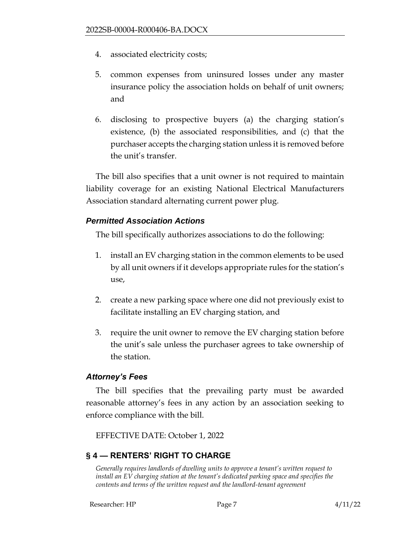- 4. associated electricity costs;
- 5. common expenses from uninsured losses under any master insurance policy the association holds on behalf of unit owners; and
- 6. disclosing to prospective buyers (a) the charging station's existence, (b) the associated responsibilities, and (c) that the purchaser accepts the charging station unless it is removed before the unit's transfer.

The bill also specifies that a unit owner is not required to maintain liability coverage for an existing National Electrical Manufacturers Association standard alternating current power plug.

#### *Permitted Association Actions*

The bill specifically authorizes associations to do the following:

- 1. install an EV charging station in the common elements to be used by all unit owners if it develops appropriate rules for the station's use,
- 2. create a new parking space where one did not previously exist to facilitate installing an EV charging station, and
- 3. require the unit owner to remove the EV charging station before the unit's sale unless the purchaser agrees to take ownership of the station.

#### *Attorney's Fees*

The bill specifies that the prevailing party must be awarded reasonable attorney's fees in any action by an association seeking to enforce compliance with the bill.

EFFECTIVE DATE: October 1, 2022

## <span id="page-6-0"></span>**§ 4 — RENTERS' RIGHT TO CHARGE**

*Generally requires landlords of dwelling units to approve a tenant's written request to install an EV charging station at the tenant's dedicated parking space and specifies the contents and terms of the written request and the landlord-tenant agreement*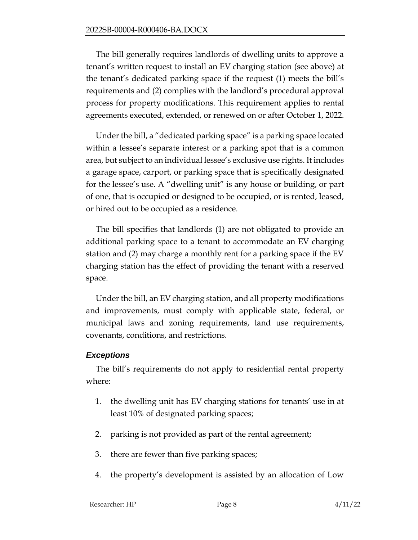The bill generally requires landlords of dwelling units to approve a tenant's written request to install an EV charging station (see above) at the tenant's dedicated parking space if the request (1) meets the bill's requirements and (2) complies with the landlord's procedural approval process for property modifications. This requirement applies to rental agreements executed, extended, or renewed on or after October 1, 2022.

Under the bill, a "dedicated parking space" is a parking space located within a lessee's separate interest or a parking spot that is a common area, but subject to an individual lessee's exclusive use rights. It includes a garage space, carport, or parking space that is specifically designated for the lessee's use. A "dwelling unit" is any house or building, or part of one, that is occupied or designed to be occupied, or is rented, leased, or hired out to be occupied as a residence.

The bill specifies that landlords (1) are not obligated to provide an additional parking space to a tenant to accommodate an EV charging station and (2) may charge a monthly rent for a parking space if the EV charging station has the effect of providing the tenant with a reserved space.

Under the bill, an EV charging station, and all property modifications and improvements, must comply with applicable state, federal, or municipal laws and zoning requirements, land use requirements, covenants, conditions, and restrictions.

## *Exceptions*

The bill's requirements do not apply to residential rental property where:

- 1. the dwelling unit has EV charging stations for tenants' use in at least 10% of designated parking spaces;
- 2. parking is not provided as part of the rental agreement;
- 3. there are fewer than five parking spaces;
- 4. the property's development is assisted by an allocation of Low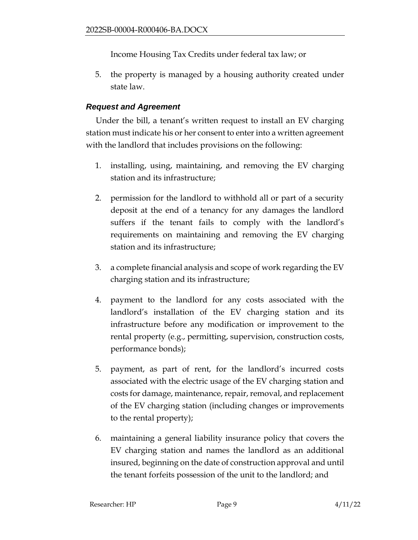Income Housing Tax Credits under federal tax law; or

5. the property is managed by a housing authority created under state law.

#### *Request and Agreement*

Under the bill, a tenant's written request to install an EV charging station must indicate his or her consent to enter into a written agreement with the landlord that includes provisions on the following:

- 1. installing, using, maintaining, and removing the EV charging station and its infrastructure;
- 2. permission for the landlord to withhold all or part of a security deposit at the end of a tenancy for any damages the landlord suffers if the tenant fails to comply with the landlord's requirements on maintaining and removing the EV charging station and its infrastructure;
- 3. a complete financial analysis and scope of work regarding the EV charging station and its infrastructure;
- 4. payment to the landlord for any costs associated with the landlord's installation of the EV charging station and its infrastructure before any modification or improvement to the rental property (e.g., permitting, supervision, construction costs, performance bonds);
- 5. payment, as part of rent, for the landlord's incurred costs associated with the electric usage of the EV charging station and costs for damage, maintenance, repair, removal, and replacement of the EV charging station (including changes or improvements to the rental property);
- 6. maintaining a general liability insurance policy that covers the EV charging station and names the landlord as an additional insured, beginning on the date of construction approval and until the tenant forfeits possession of the unit to the landlord; and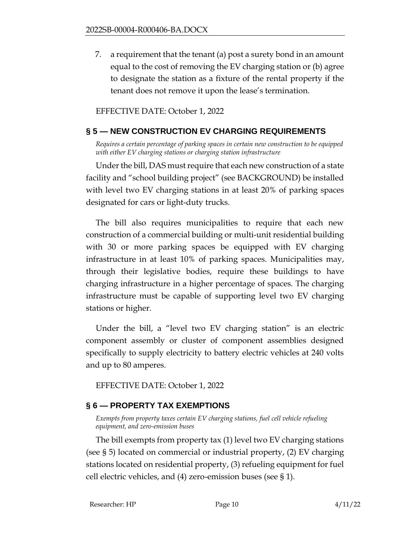7. a requirement that the tenant (a) post a surety bond in an amount equal to the cost of removing the EV charging station or (b) agree to designate the station as a fixture of the rental property if the tenant does not remove it upon the lease's termination.

EFFECTIVE DATE: October 1, 2022

## <span id="page-9-0"></span>**§ 5 — NEW CONSTRUCTION EV CHARGING REQUIREMENTS**

*Requires a certain percentage of parking spaces in certain new construction to be equipped with either EV charging stations or charging station infrastructure*

Under the bill, DAS must require that each new construction of a state facility and "school building project" (see BACKGROUND) be installed with level two EV charging stations in at least 20% of parking spaces designated for cars or light-duty trucks.

The bill also requires municipalities to require that each new construction of a commercial building or multi-unit residential building with 30 or more parking spaces be equipped with EV charging infrastructure in at least 10% of parking spaces. Municipalities may, through their legislative bodies, require these buildings to have charging infrastructure in a higher percentage of spaces. The charging infrastructure must be capable of supporting level two EV charging stations or higher.

Under the bill, a "level two EV charging station" is an electric component assembly or cluster of component assemblies designed specifically to supply electricity to battery electric vehicles at 240 volts and up to 80 amperes.

EFFECTIVE DATE: October 1, 2022

## <span id="page-9-1"></span>**§ 6 — PROPERTY TAX EXEMPTIONS**

*Exempts from property taxes certain EV charging stations, fuel cell vehicle refueling equipment, and zero-emission buses*

The bill exempts from property tax (1) level two EV charging stations (see § 5) located on commercial or industrial property, (2) EV charging stations located on residential property, (3) refueling equipment for fuel cell electric vehicles, and (4) zero-emission buses (see § 1).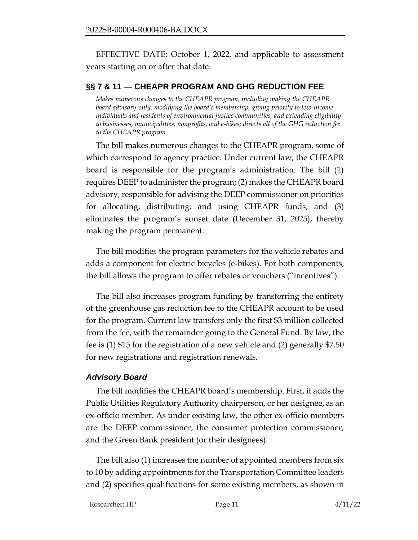EFFECTIVE DATE: October 1, 2022, and applicable to assessment years starting on or after that date.

#### <span id="page-10-0"></span>**§§ 7 & 11 — CHEAPR PROGRAM AND GHG REDUCTION FEE**

*Makes numerous changes to the CHEAPR program, including making the CHEAPR board advisory-only, modifying the board's membership, giving priority to low-income individuals and residents of environmental justice communities, and extending eligibility to businesses, municipalities, nonprofits, and e-bikes; directs all of the GHG reduction fee to the CHEAPR program*

The bill makes numerous changes to the CHEAPR program, some of which correspond to agency practice. Under current law, the CHEAPR board is responsible for the program's administration. The bill (1) requires DEEP to administer the program; (2) makes the CHEAPR board advisory, responsible for advising the DEEP commissioner on priorities for allocating, distributing, and using CHEAPR funds; and (3) eliminates the program's sunset date (December 31, 2025), thereby making the program permanent.

The bill modifies the program parameters for the vehicle rebates and adds a component for electric bicycles (e-bikes). For both components, the bill allows the program to offer rebates or vouchers ("incentives").

The bill also increases program funding by transferring the entirety of the greenhouse gas reduction fee to the CHEAPR account to be used for the program. Current law transfers only the first \$3 million collected from the fee, with the remainder going to the General Fund. By law, the fee is (1) \$15 for the registration of a new vehicle and (2) generally \$7.50 for new registrations and registration renewals.

#### *Advisory Board*

The bill modifies the CHEAPR board's membership. First, it adds the Public Utilities Regulatory Authority chairperson, or her designee, as an ex-officio member. As under existing law, the other ex-officio members are the DEEP commissioner, the consumer protection commissioner, and the Green Bank president (or their designees).

The bill also (1) increases the number of appointed members from six to 10 by adding appointments for the Transportation Committee leaders and (2) specifies qualifications for some existing members, as shown in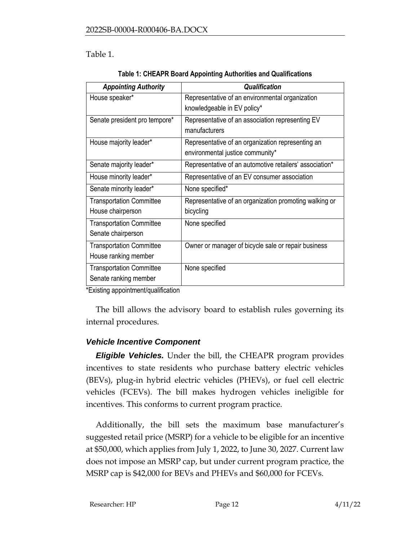## Table 1.

| <b>Appointing Authority</b>     | <b>Qualification</b>                                    |  |
|---------------------------------|---------------------------------------------------------|--|
| House speaker*                  | Representative of an environmental organization         |  |
|                                 | knowledgeable in EV policy*                             |  |
| Senate president pro tempore*   | Representative of an association representing EV        |  |
|                                 | manufacturers                                           |  |
| House majority leader*          | Representative of an organization representing an       |  |
|                                 | environmental justice community*                        |  |
| Senate majority leader*         | Representative of an automotive retailers' association* |  |
| House minority leader*          | Representative of an EV consumer association            |  |
| Senate minority leader*         | None specified*                                         |  |
| <b>Transportation Committee</b> | Representative of an organization promoting walking or  |  |
| House chairperson               | bicycling                                               |  |
| <b>Transportation Committee</b> | None specified                                          |  |
| Senate chairperson              |                                                         |  |
| <b>Transportation Committee</b> | Owner or manager of bicycle sale or repair business     |  |
| House ranking member            |                                                         |  |
| <b>Transportation Committee</b> | None specified                                          |  |
| Senate ranking member           |                                                         |  |

\*Existing appointment/qualification

The bill allows the advisory board to establish rules governing its internal procedures.

## *Vehicle Incentive Component*

*Eligible Vehicles.* Under the bill, the CHEAPR program provides incentives to state residents who purchase battery electric vehicles (BEVs), plug-in hybrid electric vehicles (PHEVs), or fuel cell electric vehicles (FCEVs). The bill makes hydrogen vehicles ineligible for incentives. This conforms to current program practice.

Additionally, the bill sets the maximum base manufacturer's suggested retail price (MSRP) for a vehicle to be eligible for an incentive at \$50,000, which applies from July 1, 2022, to June 30, 2027. Current law does not impose an MSRP cap, but under current program practice, the MSRP cap is \$42,000 for BEVs and PHEVs and \$60,000 for FCEVs.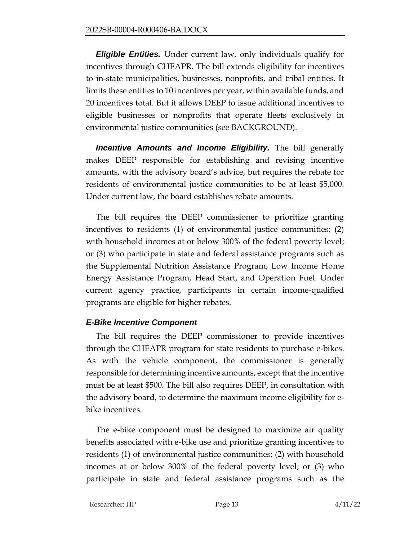*Eligible Entities.* Under current law, only individuals qualify for incentives through CHEAPR. The bill extends eligibility for incentives to in-state municipalities, businesses, nonprofits, and tribal entities. It limits these entities to 10 incentives per year, within available funds, and 20 incentives total. But it allows DEEP to issue additional incentives to eligible businesses or nonprofits that operate fleets exclusively in environmental justice communities (see BACKGROUND).

*Incentive Amounts and Income Eligibility.* The bill generally makes DEEP responsible for establishing and revising incentive amounts, with the advisory board's advice, but requires the rebate for residents of environmental justice communities to be at least \$5,000. Under current law, the board establishes rebate amounts.

The bill requires the DEEP commissioner to prioritize granting incentives to residents (1) of environmental justice communities; (2) with household incomes at or below 300% of the federal poverty level; or (3) who participate in state and federal assistance programs such as the Supplemental Nutrition Assistance Program, Low Income Home Energy Assistance Program, Head Start, and Operation Fuel. Under current agency practice, participants in certain income-qualified programs are eligible for higher rebates.

## *E-Bike Incentive Component*

The bill requires the DEEP commissioner to provide incentives through the CHEAPR program for state residents to purchase e-bikes. As with the vehicle component, the commissioner is generally responsible for determining incentive amounts, except that the incentive must be at least \$500. The bill also requires DEEP, in consultation with the advisory board, to determine the maximum income eligibility for ebike incentives.

The e-bike component must be designed to maximize air quality benefits associated with e-bike use and prioritize granting incentives to residents (1) of environmental justice communities; (2) with household incomes at or below 300% of the federal poverty level; or (3) who participate in state and federal assistance programs such as the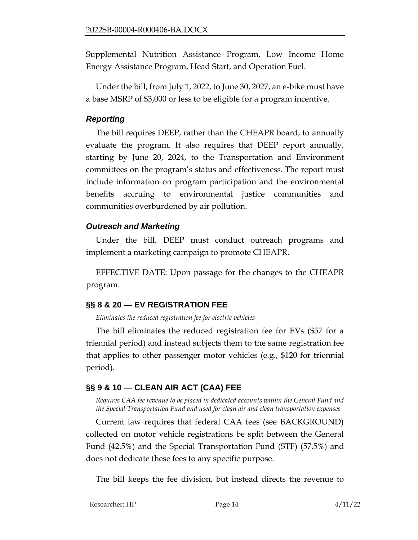Supplemental Nutrition Assistance Program, Low Income Home Energy Assistance Program, Head Start, and Operation Fuel.

Under the bill, from July 1, 2022, to June 30, 2027, an e-bike must have a base MSRP of \$3,000 or less to be eligible for a program incentive.

#### *Reporting*

The bill requires DEEP, rather than the CHEAPR board, to annually evaluate the program. It also requires that DEEP report annually, starting by June 20, 2024, to the Transportation and Environment committees on the program's status and effectiveness. The report must include information on program participation and the environmental benefits accruing to environmental justice communities and communities overburdened by air pollution.

## *Outreach and Marketing*

Under the bill, DEEP must conduct outreach programs and implement a marketing campaign to promote CHEAPR.

EFFECTIVE DATE: Upon passage for the changes to the CHEAPR program.

# <span id="page-13-0"></span>**§§ 8 & 20 — EV REGISTRATION FEE**

*Eliminates the reduced registration fee for electric vehicles*

The bill eliminates the reduced registration fee for EVs (\$57 for a triennial period) and instead subjects them to the same registration fee that applies to other passenger motor vehicles (e.g., \$120 for triennial period).

## <span id="page-13-1"></span>**§§ 9 & 10 — CLEAN AIR ACT (CAA) FEE**

*Requires CAA fee revenue to be placed in dedicated accounts within the General Fund and the Special Transportation Fund and used for clean air and clean transportation expenses*

Current law requires that federal CAA fees (see BACKGROUND) collected on motor vehicle registrations be split between the General Fund (42.5%) and the Special Transportation Fund (STF) (57.5%) and does not dedicate these fees to any specific purpose.

The bill keeps the fee division, but instead directs the revenue to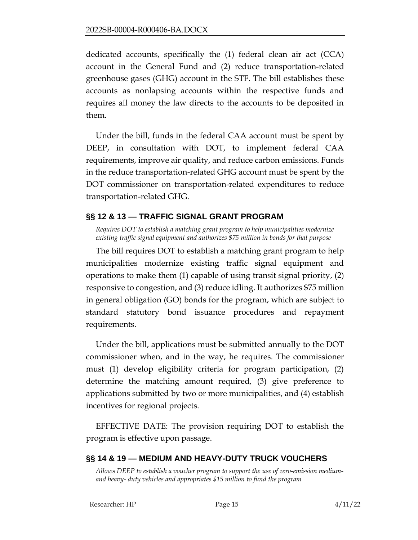dedicated accounts, specifically the (1) federal clean air act (CCA) account in the General Fund and (2) reduce transportation-related greenhouse gases (GHG) account in the STF. The bill establishes these accounts as nonlapsing accounts within the respective funds and requires all money the law directs to the accounts to be deposited in them.

Under the bill, funds in the federal CAA account must be spent by DEEP, in consultation with DOT, to implement federal CAA requirements, improve air quality, and reduce carbon emissions. Funds in the reduce transportation-related GHG account must be spent by the DOT commissioner on transportation-related expenditures to reduce transportation-related GHG.

## <span id="page-14-0"></span>**§§ 12 & 13 — TRAFFIC SIGNAL GRANT PROGRAM**

*Requires DOT to establish a matching grant program to help municipalities modernize existing traffic signal equipment and authorizes \$75 million in bonds for that purpose*

The bill requires DOT to establish a matching grant program to help municipalities modernize existing traffic signal equipment and operations to make them (1) capable of using transit signal priority, (2) responsive to congestion, and (3) reduce idling. It authorizes \$75 million in general obligation (GO) bonds for the program, which are subject to standard statutory bond issuance procedures and repayment requirements.

Under the bill, applications must be submitted annually to the DOT commissioner when, and in the way, he requires. The commissioner must (1) develop eligibility criteria for program participation, (2) determine the matching amount required, (3) give preference to applications submitted by two or more municipalities, and (4) establish incentives for regional projects.

EFFECTIVE DATE: The provision requiring DOT to establish the program is effective upon passage.

# <span id="page-14-1"></span>**§§ 14 & 19 — MEDIUM AND HEAVY-DUTY TRUCK VOUCHERS**

*Allows DEEP to establish a voucher program to support the use of zero-emission mediumand heavy- duty vehicles and appropriates \$15 million to fund the program*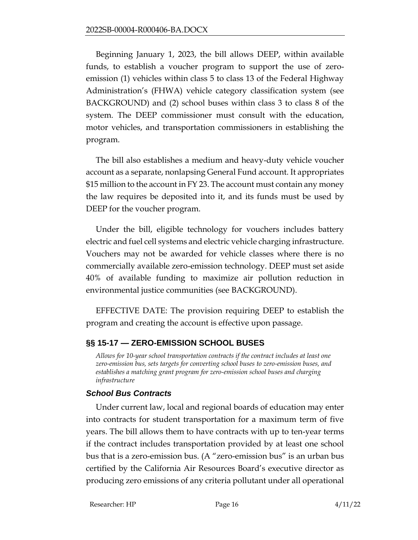Beginning January 1, 2023, the bill allows DEEP, within available funds, to establish a voucher program to support the use of zeroemission (1) vehicles within class 5 to class 13 of the Federal Highway Administration's (FHWA) vehicle category classification system (see BACKGROUND) and (2) school buses within class 3 to class 8 of the system. The DEEP commissioner must consult with the education, motor vehicles, and transportation commissioners in establishing the program.

The bill also establishes a medium and heavy-duty vehicle voucher account as a separate, nonlapsing General Fund account. It appropriates \$15 million to the account in FY 23. The account must contain any money the law requires be deposited into it, and its funds must be used by DEEP for the voucher program.

Under the bill, eligible technology for vouchers includes battery electric and fuel cell systems and electric vehicle charging infrastructure. Vouchers may not be awarded for vehicle classes where there is no commercially available zero-emission technology. DEEP must set aside 40% of available funding to maximize air pollution reduction in environmental justice communities (see BACKGROUND).

EFFECTIVE DATE: The provision requiring DEEP to establish the program and creating the account is effective upon passage.

# <span id="page-15-0"></span>**§§ 15-17 — ZERO-EMISSION SCHOOL BUSES**

*Allows for 10-year school transportation contracts if the contract includes at least one zero-emission bus, sets targets for converting school buses to zero-emission buses, and establishes a matching grant program for zero-emission school buses and charging infrastructure*

## *School Bus Contracts*

Under current law, local and regional boards of education may enter into contracts for student transportation for a maximum term of five years. The bill allows them to have contracts with up to ten-year terms if the contract includes transportation provided by at least one school bus that is a zero-emission bus. (A "zero-emission bus" is an urban bus certified by the California Air Resources Board's executive director as producing zero emissions of any criteria pollutant under all operational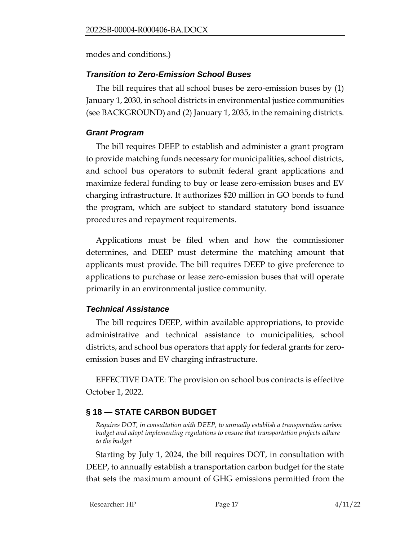modes and conditions.)

## *Transition to Zero-Emission School Buses*

The bill requires that all school buses be zero-emission buses by (1) January 1, 2030, in school districts in environmental justice communities (see BACKGROUND) and (2) January 1, 2035, in the remaining districts.

## *Grant Program*

The bill requires DEEP to establish and administer a grant program to provide matching funds necessary for municipalities, school districts, and school bus operators to submit federal grant applications and maximize federal funding to buy or lease zero-emission buses and EV charging infrastructure. It authorizes \$20 million in GO bonds to fund the program, which are subject to standard statutory bond issuance procedures and repayment requirements.

Applications must be filed when and how the commissioner determines, and DEEP must determine the matching amount that applicants must provide. The bill requires DEEP to give preference to applications to purchase or lease zero-emission buses that will operate primarily in an environmental justice community.

# *Technical Assistance*

The bill requires DEEP, within available appropriations, to provide administrative and technical assistance to municipalities, school districts, and school bus operators that apply for federal grants for zeroemission buses and EV charging infrastructure.

EFFECTIVE DATE: The provision on school bus contracts is effective October 1, 2022.

# <span id="page-16-0"></span>**§ 18 — STATE CARBON BUDGET**

*Requires DOT, in consultation with DEEP, to annually establish a transportation carbon budget and adopt implementing regulations to ensure that transportation projects adhere to the budget*

Starting by July 1, 2024, the bill requires DOT, in consultation with DEEP, to annually establish a transportation carbon budget for the state that sets the maximum amount of GHG emissions permitted from the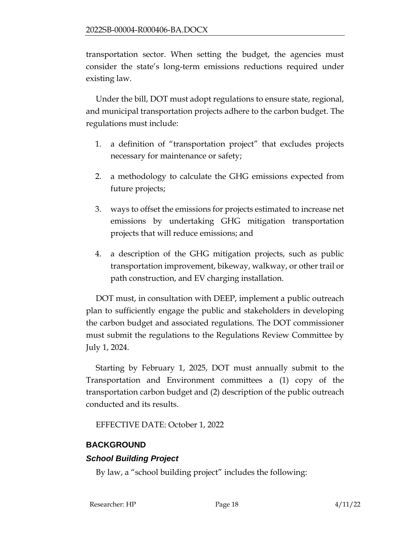transportation sector. When setting the budget, the agencies must consider the state's long-term emissions reductions required under existing law.

Under the bill, DOT must adopt regulations to ensure state, regional, and municipal transportation projects adhere to the carbon budget. The regulations must include:

- 1. a definition of "transportation project" that excludes projects necessary for maintenance or safety;
- 2. a methodology to calculate the GHG emissions expected from future projects;
- 3. ways to offset the emissions for projects estimated to increase net emissions by undertaking GHG mitigation transportation projects that will reduce emissions; and
- 4. a description of the GHG mitigation projects, such as public transportation improvement, bikeway, walkway, or other trail or path construction, and EV charging installation.

DOT must, in consultation with DEEP, implement a public outreach plan to sufficiently engage the public and stakeholders in developing the carbon budget and associated regulations. The DOT commissioner must submit the regulations to the Regulations Review Committee by July 1, 2024.

Starting by February 1, 2025, DOT must annually submit to the Transportation and Environment committees a (1) copy of the transportation carbon budget and (2) description of the public outreach conducted and its results.

EFFECTIVE DATE: October 1, 2022

# <span id="page-17-0"></span>**BACKGROUND**

# *School Building Project*

By law, a "school building project" includes the following: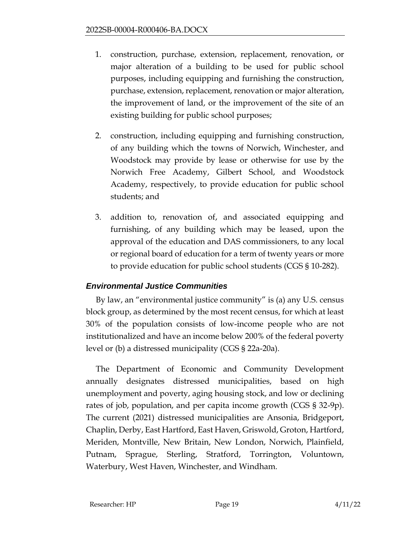- 1. construction, purchase, extension, replacement, renovation, or major alteration of a building to be used for public school purposes, including equipping and furnishing the construction, purchase, extension, replacement, renovation or major alteration, the improvement of land, or the improvement of the site of an existing building for public school purposes;
- 2. construction, including equipping and furnishing construction, of any building which the towns of Norwich, Winchester, and Woodstock may provide by lease or otherwise for use by the Norwich Free Academy, Gilbert School, and Woodstock Academy, respectively, to provide education for public school students; and
- 3. addition to, renovation of, and associated equipping and furnishing, of any building which may be leased, upon the approval of the education and DAS commissioners, to any local or regional board of education for a term of twenty years or more to provide education for public school students (CGS § 10-282).

# *Environmental Justice Communities*

By law, an "environmental justice community" is (a) any U.S. census block group, as determined by the most recent census, for which at least 30% of the population consists of low-income people who are not institutionalized and have an income below 200% of the federal poverty level or (b) a distressed municipality (CGS § 22a-20a).

The Department of Economic and Community Development annually designates distressed municipalities, based on high unemployment and poverty, aging housing stock, and low or declining rates of job, population, and per capita income growth (CGS § 32-9p). The current (2021) distressed municipalities are Ansonia, Bridgeport, Chaplin, Derby, East Hartford, East Haven, Griswold, Groton, Hartford, Meriden, Montville, New Britain, New London, Norwich, Plainfield, Putnam, Sprague, Sterling, Stratford, Torrington, Voluntown, Waterbury, West Haven, Winchester, and Windham.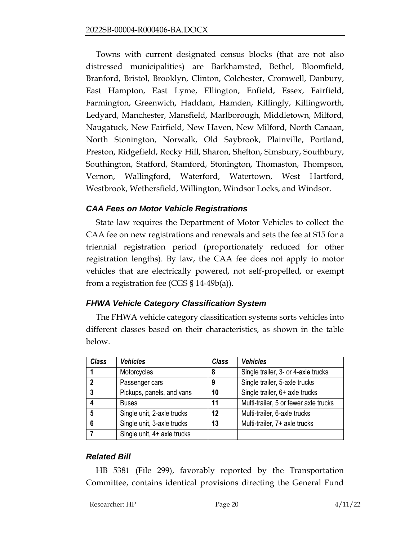Towns with current designated census blocks (that are not also distressed municipalities) are Barkhamsted, Bethel, Bloomfield, Branford, Bristol, Brooklyn, Clinton, Colchester, Cromwell, Danbury, East Hampton, East Lyme, Ellington, Enfield, Essex, Fairfield, Farmington, Greenwich, Haddam, Hamden, Killingly, Killingworth, Ledyard, Manchester, Mansfield, Marlborough, Middletown, Milford, Naugatuck, New Fairfield, New Haven, New Milford, North Canaan, North Stonington, Norwalk, Old Saybrook, Plainville, Portland, Preston, Ridgefield, Rocky Hill, Sharon, Shelton, Simsbury, Southbury, Southington, Stafford, Stamford, Stonington, Thomaston, Thompson, Vernon, Wallingford, Waterford, Watertown, West Hartford, Westbrook, Wethersfield, Willington, Windsor Locks, and Windsor.

## *CAA Fees on Motor Vehicle Registrations*

State law requires the Department of Motor Vehicles to collect the CAA fee on new registrations and renewals and sets the fee at \$15 for a triennial registration period (proportionately reduced for other registration lengths). By law, the CAA fee does not apply to motor vehicles that are electrically powered, not self-propelled, or exempt from a registration fee (CGS  $\S$  14-49b(a)).

## *FHWA Vehicle Category Classification System*

The FHWA vehicle category classification systems sorts vehicles into different classes based on their characteristics, as shown in the table below.

| <b>Class</b>            | <b>Vehicles</b>             | <b>Class</b> | <b>Vehicles</b>                       |
|-------------------------|-----------------------------|--------------|---------------------------------------|
|                         | Motorcycles                 | 8            | Single trailer, 3- or 4-axle trucks   |
| $\overline{\mathbf{z}}$ | Passenger cars              | 9            | Single trailer, 5-axle trucks         |
| 3                       | Pickups, panels, and vans   | 10           | Single trailer, 6+ axle trucks        |
|                         | <b>Buses</b>                | 11           | Multi-trailer, 5 or fewer axle trucks |
| 5                       | Single unit, 2-axle trucks  | 12           | Multi-trailer, 6-axle trucks          |
| 6                       | Single unit, 3-axle trucks  | 13           | Multi-trailer, 7+ axle trucks         |
|                         | Single unit, 4+ axle trucks |              |                                       |

## *Related Bill*

HB 5381 (File 299), favorably reported by the Transportation Committee, contains identical provisions directing the General Fund